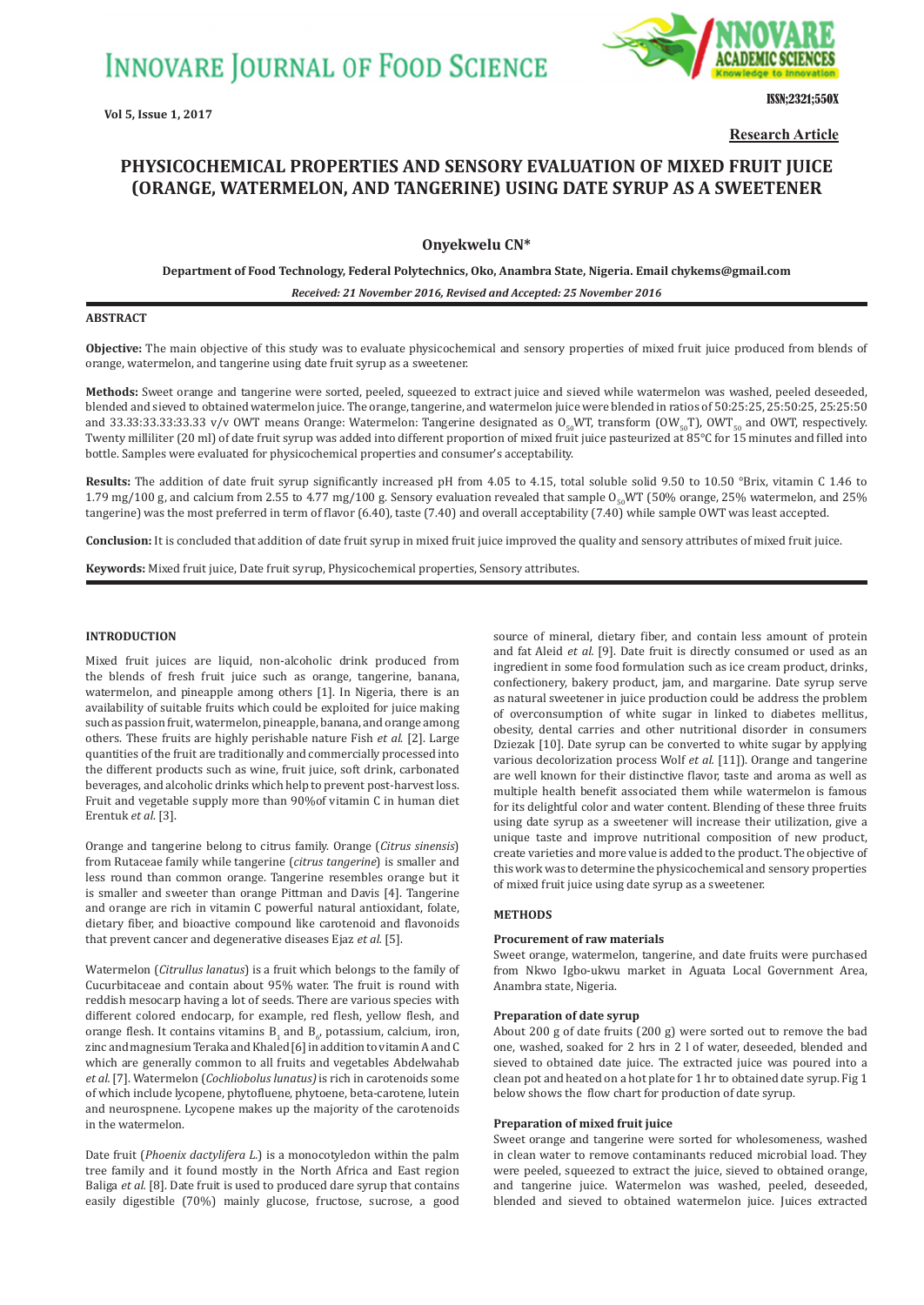

ISSN;2321;550X

**Research Article**

# **PHYSICOCHEMICAL PROPERTIES AND SENSORY EVALUATION OF MIXED FRUIT JUICE (ORANGE, WATERMELON, AND TANGERINE) USING DATE SYRUP AS A SWEETENER**

# **Onyekwelu CN\***

**Department of Food Technology, Federal Polytechnics, Oko, Anambra State, Nigeria. Email chykems@gmail.com**

*Received: 21 November 2016, Revised and Accepted: 25 November 2016*

# **ABSTRACT**

**Objective:** The main objective of this study was to evaluate physicochemical and sensory properties of mixed fruit juice produced from blends of orange, watermelon, and tangerine using date fruit syrup as a sweetener.

**Methods:** Sweet orange and tangerine were sorted, peeled, squeezed to extract juice and sieved while watermelon was washed, peeled deseeded, blended and sieved to obtained watermelon juice. The orange, tangerine, and watermelon juice were blended in ratios of 50:25:25, 25:50:25, 25:25:50 and 33.33:33.33:33.33 v/v OWT means Orange: Watermelon: Tangerine designated as  $O_{50}WT$ , transform (OW<sub>50</sub>T), OWT<sub>50</sub> and OWT, respectively. Twenty milliliter (20 ml) of date fruit syrup was added into different proportion of mixed fruit juice pasteurized at 85°C for 15 minutes and filled into bottle. Samples were evaluated for physicochemical properties and consumer's acceptability.

**Results:** The addition of date fruit syrup significantly increased pH from 4.05 to 4.15, total soluble solid 9.50 to 10.50 °Brix, vitamin C 1.46 to 1.79 mg/100 g, and calcium from 2.55 to 4.77 mg/100 g. Sensory evaluation revealed that sample O<sub>50</sub>WT (50% orange, 25% watermelon, and 25% tangerine) was the most preferred in term of flavor (6.40), taste (7.40) and overall acceptability (7.40) while sample OWT was least accepted.

**Conclusion:** It is concluded that addition of date fruit syrup in mixed fruit juice improved the quality and sensory attributes of mixed fruit juice.

**Keywords:** Mixed fruit juice, Date fruit syrup, Physicochemical properties, Sensory attributes.

# **INTRODUCTION**

Mixed fruit juices are liquid, non-alcoholic drink produced from the blends of fresh fruit juice such as orange, tangerine, banana, watermelon, and pineapple among others [1]. In Nigeria, there is an availability of suitable fruits which could be exploited for juice making such as passion fruit, watermelon, pineapple, banana, and orange among others. These fruits are highly perishable nature Fish *et al*. [2]. Large quantities of the fruit are traditionally and commercially processed into the different products such as wine, fruit juice, soft drink, carbonated beverages, and alcoholic drinks which help to prevent post-harvest loss. Fruit and vegetable supply more than 90%of vitamin C in human diet Erentuk *et al*. [3].

Orange and tangerine belong to citrus family. Orange (*Citrus sinensis*) from Rutaceae family while tangerine (*citrus tangerine*) is smaller and less round than common orange. Tangerine resembles orange but it is smaller and sweeter than orange Pittman and Davis [4]. Tangerine and orange are rich in vitamin C powerful natural antioxidant, folate, dietary fiber, and bioactive compound like carotenoid and flavonoids that prevent cancer and degenerative diseases Ejaz *et al.* [5].

Watermelon (*Citrullus lanatus*) is a fruit which belongs to the family of Cucurbitaceae and contain about 95% water. The fruit is round with reddish mesocarp having a lot of seeds. There are various species with different colored endocarp, for example, red flesh, yellow flesh, and orange flesh. It contains vitamins  $B_1$  and  $B_{6'}$  potassium, calcium, iron, zinc and magnesium Teraka and Khaled [6] in addition to vitamin A and C which are generally common to all fruits and vegetables Abdelwahab *et al.* [7]. Watermelon (*Cochliobolus lunatus)* is rich in carotenoids some of which include lycopene, phytofluene, phytoene, beta-carotene, lutein and neurospnene. Lycopene makes up the majority of the carotenoids in the watermelon.

Date fruit (*Phoenix dactylifera L.*) is a monocotyledon within the palm tree family and it found mostly in the North Africa and East region Baliga *et al.* [8]. Date fruit is used to produced dare syrup that contains easily digestible (70%) mainly glucose, fructose, sucrose, a good source of mineral, dietary fiber, and contain less amount of protein and fat Aleid *et al.* [9]. Date fruit is directly consumed or used as an ingredient in some food formulation such as ice cream product, drinks, confectionery, bakery product, jam, and margarine. Date syrup serve as natural sweetener in juice production could be address the problem of overconsumption of white sugar in linked to diabetes mellitus, obesity, dental carries and other nutritional disorder in consumers Dziezak [10]. Date syrup can be converted to white sugar by applying various decolorization process Wolf *et al.* [11]). Orange and tangerine are well known for their distinctive flavor, taste and aroma as well as multiple health benefit associated them while watermelon is famous for its delightful color and water content. Blending of these three fruits using date syrup as a sweetener will increase their utilization, give a unique taste and improve nutritional composition of new product, create varieties and more value is added to the product. The objective of this work was to determine the physicochemical and sensory properties of mixed fruit juice using date syrup as a sweetener.

# **METHODS**

### **Procurement of raw materials**

Sweet orange, watermelon, tangerine, and date fruits were purchased from Nkwo Igbo-ukwu market in Aguata Local Government Area, Anambra state, Nigeria.

#### **Preparation of date syrup**

About 200 g of date fruits (200 g) were sorted out to remove the bad one, washed, soaked for 2 hrs in 2 l of water, deseeded, blended and sieved to obtained date juice. The extracted juice was poured into a clean pot and heated on a hot plate for 1 hr to obtained date syrup. Fig 1 below shows the flow chart for production of date syrup.

## **Preparation of mixed fruit juice**

Sweet orange and tangerine were sorted for wholesomeness, washed in clean water to remove contaminants reduced microbial load. They were peeled, squeezed to extract the juice, sieved to obtained orange, and tangerine juice. Watermelon was washed, peeled, deseeded, blended and sieved to obtained watermelon juice. Juices extracted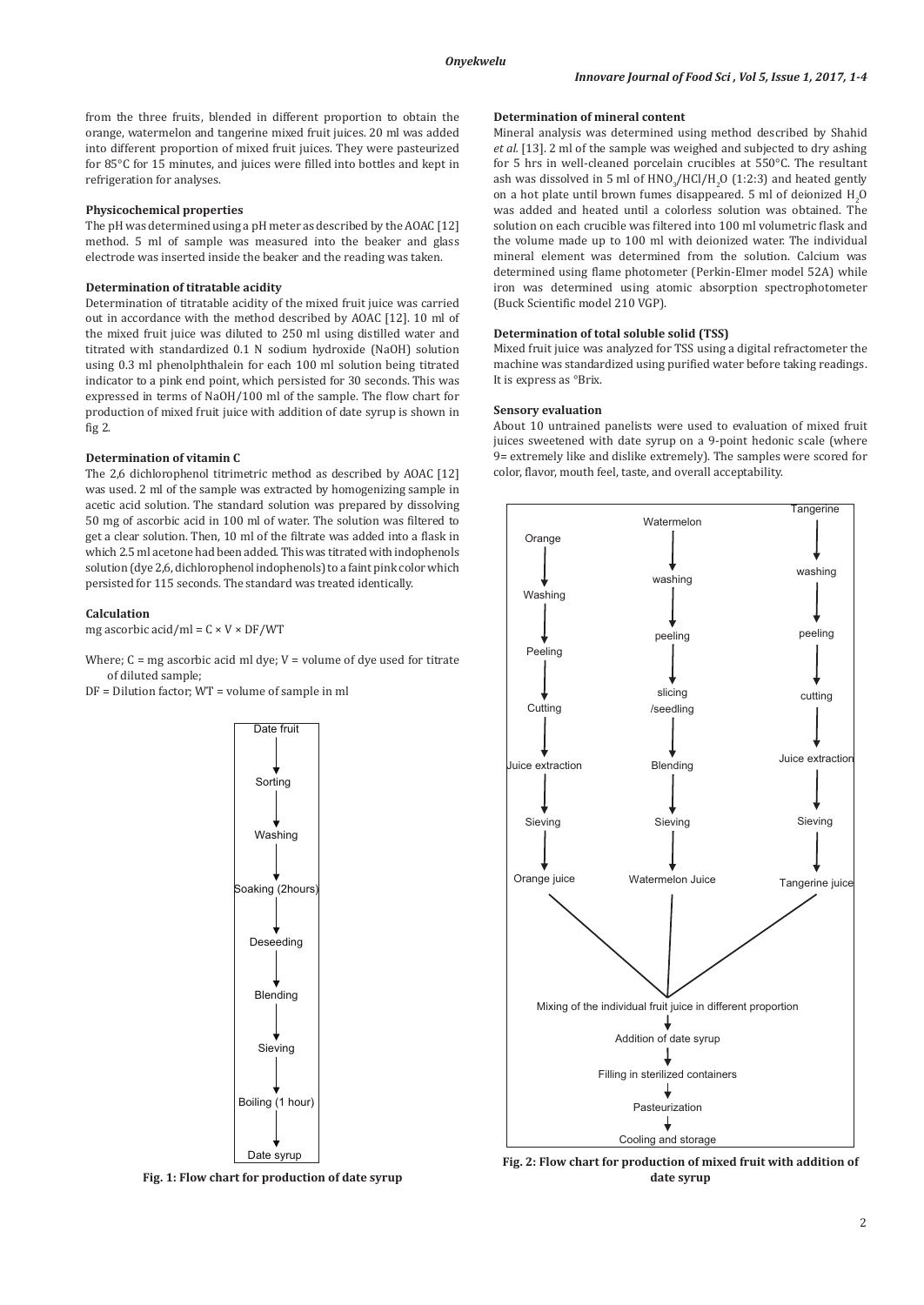from the three fruits, blended in different proportion to obtain the orange, watermelon and tangerine mixed fruit juices. 20 ml was added into different proportion of mixed fruit juices. They were pasteurized for 85°C for 15 minutes, and juices were filled into bottles and kept in refrigeration for analyses.

### **Physicochemical properties**

The pH was determined using a pH meter as described by the AOAC [12] method. 5 ml of sample was measured into the beaker and glass electrode was inserted inside the beaker and the reading was taken.

## **Determination of titratable acidity**

Determination of titratable acidity of the mixed fruit juice was carried out in accordance with the method described by AOAC [12]. 10 ml of the mixed fruit juice was diluted to 250 ml using distilled water and titrated with standardized 0.1 N sodium hydroxide (NaOH) solution using 0.3 ml phenolphthalein for each 100 ml solution being titrated indicator to a pink end point, which persisted for 30 seconds. This was expressed in terms of NaOH/100 ml of the sample. The flow chart for production of mixed fruit juice with addition of date syrup is shown in fig 2.

## **Determination of vitamin C**

The 2,6 dichlorophenol titrimetric method as described by AOAC [12] was used. 2 ml of the sample was extracted by homogenizing sample in acetic acid solution. The standard solution was prepared by dissolving 50 mg of ascorbic acid in 100 ml of water. The solution was filtered to get a clear solution. Then, 10 ml of the filtrate was added into a flask in which 2.5 ml acetone had been added. This was titrated with indophenols solution (dye 2,6, dichlorophenol indophenols) to a faint pink color which persisted for 115 seconds. The standard was treated identically.

#### **Calculation**

mg ascorbic acid/ml =  $C \times V \times DF/WT$ 

Where;  $C = mg$  ascorbic acid ml dye;  $V = volume$  of dye used for titrate of diluted sample;

DF = Dilution factor; WT = volume of sample in ml



**Fig. 1: Flow chart for production of date syrup**

## **Determination of mineral content**

Mineral analysis was determined using method described by Shahid *et al.* [13]. 2 ml of the sample was weighed and subjected to dry ashing for 5 hrs in well-cleaned porcelain crucibles at 550°C. The resultant ash was dissolved in 5 ml of  $HNO_3/HCl/H_2O$  (1:2:3) and heated gently on a hot plate until brown fumes disappeared. 5 ml of deionized  $H_2O$ was added and heated until a colorless solution was obtained. The solution on each crucible was filtered into 100 ml volumetric flask and the volume made up to 100 ml with deionized water. The individual mineral element was determined from the solution. Calcium was determined using flame photometer (Perkin-Elmer model 52A) while iron was determined using atomic absorption spectrophotometer (Buck Scientific model 210 VGP).

## **Determination of total soluble solid (TSS)**

Mixed fruit juice was analyzed for TSS using a digital refractometer the machine was standardized using purified water before taking readings. It is express as °Brix.

#### **Sensory evaluation**

About 10 untrained panelists were used to evaluation of mixed fruit juices sweetened with date syrup on a 9-point hedonic scale (where 9= extremely like and dislike extremely). The samples were scored for color, flavor, mouth feel, taste, and overall acceptability.



**Fig. 2: Flow chart for production of mixed fruit with addition of date syrup**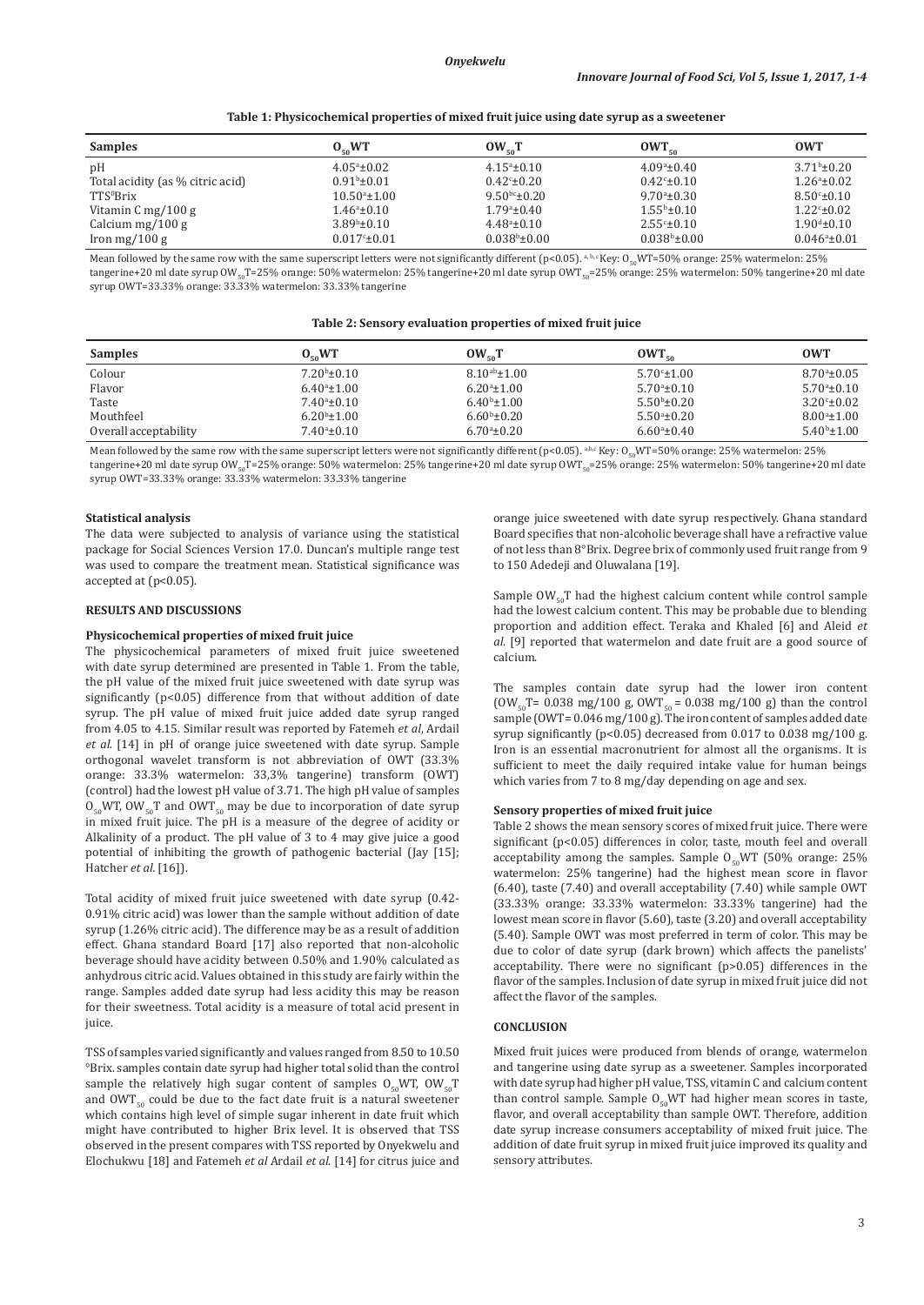|  |  |  | Table 1: Physicochemical properties of mixed fruit juice using date syrup as a sweetener |
|--|--|--|------------------------------------------------------------------------------------------|
|--|--|--|------------------------------------------------------------------------------------------|

| <b>Samples</b>                   | 0.5W                    | $OW_{50}T$               | $OWT_{50}$              | <b>OWT</b>                 |
|----------------------------------|-------------------------|--------------------------|-------------------------|----------------------------|
| pH                               | $4.05^{\circ}$ ±0.02    | $4.15^{\circ} \pm 0.10$  | $4.09^{\circ}$ ±0.40    | $3.71^b \pm 0.20$          |
| Total acidity (as % citric acid) | $0.91b \pm 0.01$        | $0.42^{\circ}$ ±0.20     | $0.42^{\circ}$ ±0.10    | $1.26^a \pm 0.02$          |
| TTS <sup>o</sup> Brix            | $10.50^{\circ}$ ±1.00   | $9.50^{bc} \pm 0.20$     | $9.70^{\circ}$ ±0.30    | $8.50^{\circ}$ ±0.10       |
| Vitamin $C$ mg/100 g             | $1.46^{\circ}$ ±0.10    | $1.79a \pm 0.40$         | $1.55^{\rm b}$ ±0.10    | $1.22^{\circ}$ ±0.02       |
| Calcium mg/100 g                 | $3.89^{\rm b} \pm 0.10$ | $4.48^a \pm 0.10$        | $2.55^{\circ} \pm 0.10$ | $1.90^{\text{d}} \pm 0.10$ |
| Iron mg/100 g                    | $0.017c_{\pm}0.01$      | $0.038^{\rm b}$ ± $0.00$ | $0.038^{\rm b}$ ±0.00   | $0.046^a \pm 0.01$         |

Mean followed by the same row with the same superscript letters were not significantly different (p<0.05).  $a, b, c$  Key: O<sub>co</sub>WT=50% orange: 25% watermelon: 25% tangerine+20 ml date syrup OW<sub>50</sub>T=25% orange: 50% watermelon: 25% tangerine+20 ml date syrup OWT<sub>50</sub>=25% orange: 25% watermelon: 50% tangerine+20 ml date syrup OWT=33.33% orange: 33.33% watermelon: 33.33% tangerine

#### **Table 2: Sensory evaluation properties of mixed fruit juice**

| <b>Samples</b>        | $O_{50}WT$              | $OW_{50}T$           | $OWT_{50}$           | <b>OWT</b>            |
|-----------------------|-------------------------|----------------------|----------------------|-----------------------|
| Colour                | $7.20^b \pm 0.10$       | $8.10^{ab} \pm 1.00$ | $5.70^{\circ}$ ±1.00 | $8.70^{\circ}$ ±0.05  |
| Flavor                | $6.40^{\circ}$ ±1.00    | $6.20^{\circ}$ ±1.00 | $5.70^{\circ}$ ±0.10 | $5.70^{\circ}$ ±0.10  |
| Taste                 | $7.40^{\circ}$ ±0.10    | $6.40^{\rm b}$ ±1.00 | $5.50b \pm 0.20$     | $3.20^{\circ}$ ± 0.02 |
| Mouthfeel             | $6.20b \pm 1.00$        | $6.60^{\rm b}$ ±0.20 | $5.50^{\circ}$ ±0.20 | $8.00a_{\pm}1.00$     |
| Overall acceptability | $7.40^{\circ}$ ± $0.10$ | $6.70^{\circ}$ ±0.20 | $6.60^{\circ}$ ±0.40 | $5.40^{\rm b}$ ±1.00  |

Mean followed by the same row with the same superscript letters were not significantly different (p<0.05). a,b,c Key: O<sub>50</sub>WT=50% orange: 25% watermelon: 25% tangerine+20 ml date syrup OW<sub>50</sub>T=25% orange: 50% watermelon: 25% tangerine+20 ml date syrup OWT<sub>50</sub>=25% orange: 25% watermelon: 50% tangerine+20 ml date syrup OWT=33.33% orange: 33.33% watermelon: 33.33% tangerine

#### **Statistical analysis**

The data were subjected to analysis of variance using the statistical package for Social Sciences Version 17.0. Duncan's multiple range test was used to compare the treatment mean. Statistical significance was accepted at (p<0.05).

### **RESULTS AND DISCUSSIONS**

## **Physicochemical properties of mixed fruit juice**

The physicochemical parameters of mixed fruit juice sweetened with date syrup determined are presented in Table 1. From the table, the pH value of the mixed fruit juice sweetened with date syrup was significantly (p<0.05) difference from that without addition of date syrup. The pH value of mixed fruit juice added date syrup ranged from 4.05 to 4.15. Similar result was reported by Fatemeh *et al*, Ardail *et al.* [14] in pH of orange juice sweetened with date syrup. Sample orthogonal wavelet transform is not abbreviation of OWT (33.3% orange: 33.3% watermelon: 33,3% tangerine) transform (OWT) (control) had the lowest pH value of 3.71. The high pH value of samples  $O_{50}$ WT, OW<sub>50</sub>T and OWT<sub>50</sub> may be due to incorporation of date syrup in mixed fruit juice. The pH is a measure of the degree of acidity or Alkalinity of a product. The pH value of 3 to 4 may give juice a good potential of inhibiting the growth of pathogenic bacterial (Jay [15]; Hatcher *et al.* [16]).

Total acidity of mixed fruit juice sweetened with date syrup (0.42- 0.91% citric acid) was lower than the sample without addition of date syrup (1.26% citric acid). The difference may be as a result of addition effect. Ghana standard Board [17] also reported that non-alcoholic beverage should have acidity between 0.50% and 1.90% calculated as anhydrous citric acid. Values obtained in this study are fairly within the range. Samples added date syrup had less acidity this may be reason for their sweetness. Total acidity is a measure of total acid present in juice.

TSS of samples varied significantly and values ranged from 8.50 to 10.50 °Brix. samples contain date syrup had higher total solid than the control sample the relatively high sugar content of samples  $O_{50}WT$ ,  $OW_{50}T$ and  $\text{OWT}_{50}$  could be due to the fact date fruit is a natural sweetener which contains high level of simple sugar inherent in date fruit which might have contributed to higher Brix level. It is observed that TSS observed in the present compares with TSS reported by Onyekwelu and Elochukwu [18] and Fatemeh *et al* Ardail *et al*. [14] for citrus juice and orange juice sweetened with date syrup respectively. Ghana standard Board specifies that non-alcoholic beverage shall have a refractive value of not less than 8°Brix. Degree brix of commonly used fruit range from 9 to 150 Adedeji and Oluwalana [19].

Sample  $OW_{50}T$  had the highest calcium content while control sample had the lowest calcium content. This may be probable due to blending proportion and addition effect. Teraka and Khaled [6] and Aleid *et al.* [9] reported that watermelon and date fruit are a good source of calcium.

The samples contain date syrup had the lower iron content  $(OW_{50}T= 0.038 \text{ mg}/100 \text{ g}, OWT_{50} = 0.038 \text{ mg}/100 \text{ g})$  than the control sample (OWT= $0.046$  mg/100 g). The iron content of samples added date syrup significantly (p<0.05) decreased from 0.017 to 0.038 mg/100 g. Iron is an essential macronutrient for almost all the organisms. It is sufficient to meet the daily required intake value for human beings which varies from 7 to 8 mg/day depending on age and sex.

#### **Sensory properties of mixed fruit juice**

Table 2 shows the mean sensory scores of mixed fruit juice. There were significant (p<0.05) differences in color, taste, mouth feel and overall acceptability among the samples. Sample  $O_{50}WT$  (50% orange: 25% watermelon: 25% tangerine) had the highest mean score in flavor (6.40), taste (7.40) and overall acceptability (7.40) while sample OWT (33.33% orange: 33.33% watermelon: 33.33% tangerine) had the lowest mean score in flavor (5.60), taste (3.20) and overall acceptability (5.40). Sample OWT was most preferred in term of color. This may be due to color of date syrup (dark brown) which affects the panelists' acceptability. There were no significant (p>0.05) differences in the flavor of the samples. Inclusion of date syrup in mixed fruit juice did not affect the flavor of the samples.

## **CONCLUSION**

Mixed fruit juices were produced from blends of orange, watermelon and tangerine using date syrup as a sweetener. Samples incorporated with date syrup had higher pH value, TSS, vitamin C and calcium content than control sample. Sample  $O_{50}WT$  had higher mean scores in taste, flavor, and overall acceptability than sample OWT. Therefore, addition date syrup increase consumers acceptability of mixed fruit juice. The addition of date fruit syrup in mixed fruit juice improved its quality and sensory attributes.